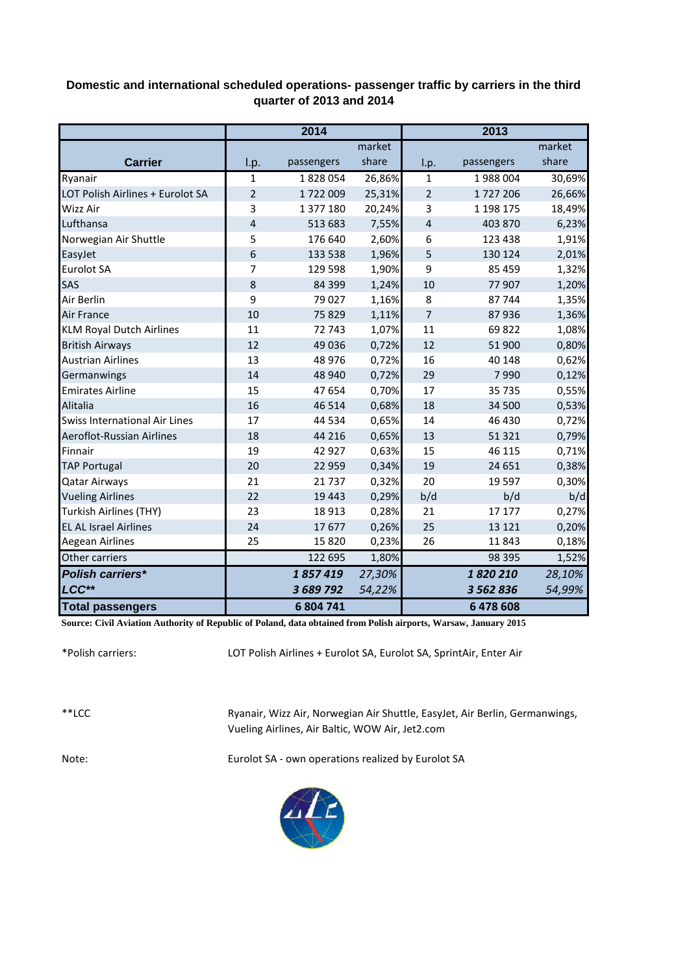## **Domestic and international scheduled operations- passenger traffic by carriers in the third quarter of 2013 and 2014**

|                                      | 2014           |            |        | 2013           |            |        |  |
|--------------------------------------|----------------|------------|--------|----------------|------------|--------|--|
|                                      |                |            | market |                |            | market |  |
| <b>Carrier</b>                       | I.p.           | passengers | share  | I.p.           | passengers | share  |  |
| Ryanair                              | $\mathbf{1}$   | 1828054    | 26,86% | 1              | 1988004    | 30,69% |  |
| LOT Polish Airlines + Eurolot SA     | $\overline{2}$ | 1722009    | 25,31% | $\overline{2}$ | 1727206    | 26,66% |  |
| <b>Wizz Air</b>                      | 3              | 1 377 180  | 20,24% | 3              | 1 198 175  | 18,49% |  |
| Lufthansa                            | 4              | 513 683    | 7,55%  | $\overline{4}$ | 403 870    | 6,23%  |  |
| Norwegian Air Shuttle                | 5              | 176 640    | 2,60%  | 6              | 123 438    | 1,91%  |  |
| EasyJet                              | 6              | 133 538    | 1,96%  | 5              | 130 124    | 2,01%  |  |
| Eurolot SA                           | 7              | 129 598    | 1,90%  | 9              | 85 459     | 1,32%  |  |
| SAS                                  | 8              | 84 3 99    | 1,24%  | 10             | 77 907     | 1,20%  |  |
| Air Berlin                           | 9              | 79 0 27    | 1,16%  | 8              | 87744      | 1,35%  |  |
| <b>Air France</b>                    | 10             | 75829      | 1,11%  | 7              | 87936      | 1,36%  |  |
| <b>KLM Royal Dutch Airlines</b>      | 11             | 72 743     | 1,07%  | 11             | 69822      | 1,08%  |  |
| <b>British Airways</b>               | 12             | 49 0 36    | 0,72%  | 12             | 51 900     | 0,80%  |  |
| <b>Austrian Airlines</b>             | 13             | 48 976     | 0,72%  | 16             | 40 148     | 0,62%  |  |
| Germanwings                          | 14             | 48 940     | 0,72%  | 29             | 7990       | 0,12%  |  |
| <b>Emirates Airline</b>              | 15             | 47 654     | 0,70%  | 17             | 35 735     | 0,55%  |  |
| Alitalia                             | 16             | 46 5 14    | 0,68%  | 18             | 34 500     | 0,53%  |  |
| <b>Swiss International Air Lines</b> | 17             | 44 5 34    | 0,65%  | 14             | 46 430     | 0,72%  |  |
| Aeroflot-Russian Airlines            | 18             | 44 216     | 0,65%  | 13             | 51 3 21    | 0,79%  |  |
| Finnair                              | 19             | 42 9 27    | 0,63%  | 15             | 46 115     | 0,71%  |  |
| <b>TAP Portugal</b>                  | 20             | 22 959     | 0,34%  | 19             | 24 651     | 0,38%  |  |
| <b>Qatar Airways</b>                 | 21             | 21737      | 0,32%  | 20             | 19 5 97    | 0,30%  |  |
| <b>Vueling Airlines</b>              | 22             | 19 4 43    | 0,29%  | b/d            | b/d        | b/d    |  |
| Turkish Airlines (THY)               | 23             | 18 9 13    | 0,28%  | 21             | 17 177     | 0,27%  |  |
| <b>EL AL Israel Airlines</b>         | 24             | 17677      | 0,26%  | 25             | 13 1 21    | 0,20%  |  |
| Aegean Airlines                      | 25             | 15 8 20    | 0,23%  | 26             | 11843      | 0,18%  |  |
| Other carriers                       |                | 122 695    | 1,80%  |                | 98 395     | 1,52%  |  |
| <b>Polish carriers*</b>              |                | 1857419    | 27,30% |                | 1820210    | 28,10% |  |
| LCC**                                |                | 3 689 792  | 54,22% |                | 3 562 836  | 54,99% |  |
| <b>Total passengers</b>              |                | 6 804 741  |        |                | 6478608    |        |  |

**Source: Civil Aviation Authority of Republic of Poland, data obtained from Polish airports, Warsaw, January 2015**

\*Polish carriers:

LOT Polish Airlines + Eurolot SA, Eurolot SA, SprintAir, Enter Air

\*\*LCC

Ryanair, Wizz Air, Norwegian Air Shuttle, EasyJet, Air Berlin, Germanwings, Vueling Airlines, Air Baltic, WOW Air, Jet2.com

Note: Eurolot SA - own operations realized by Eurolot SA